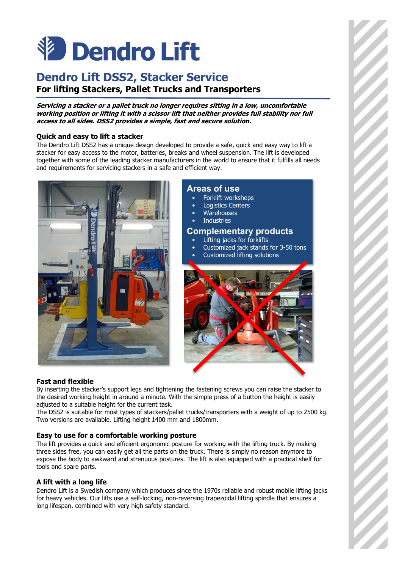# **V** Dendro Lift

# **Dendro Lift DSS2, Stacker Service For lifting Stackers, Pallet Trucks and Transporters**

#### **Servicing a stacker or a pallet truck no longer requires sitting in a low, uncomfortable working position or lifting it with a scissor lift that neither provides full stability nor full access to all sides. DSS2 provides a simple, fast and secure solution.**

# **Quick and easy to lift a stacker**

The Dendro Lift DSS2 has a unique design developed to provide a safe, quick and easy way to lift a stacker for easy access to the motor, batteries, breaks and wheel suspension. The lift is developed together with some of the leading stacker manufacturers in the world to ensure that it fulfills all needs and requirements for servicing stackers in a safe and efficient way.



# **Areas of use**

- Forklift workshops
- Logistics Centers
- **Warehouses**
- **Industries**

## **Complementary products**

- Lifting jacks for forklifts
- Customized jack stands for 3-50 tons
- Customized lifting solutions



#### **Fast and flexible**

By inserting the stacker's support legs and tightening the fastening screws you can raise the stacker to the desired working height in around a minute. With the simple press of a button the height is easily adjusted to a suitable height for the current task.

The DSS2 is suitable for most types of stackers/pallet trucks/transporters with a weight of up to 2500 kg. Two versions are available. Lifting height 1400 mm and 1800mm.

#### **Easy to use for a comfortable working posture**

The lift provides a quick and efficient ergonomic posture for working with the lifting truck. By making three sides free, you can easily get all the parts on the truck. There is simply no reason anymore to expose the body to awkward and strenuous postures. The lift is also equipped with a practical shelf for tools and spare parts.

### **A lift with a long life**

Dendro Lift is a Swedish company which produces since the 1970s reliable and robust mobile lifting jacks for heavy vehicles. Our lifts use a self-locking, non-reversing trapezoidal lifting spindle that ensures a long lifespan, combined with very high safety standard.